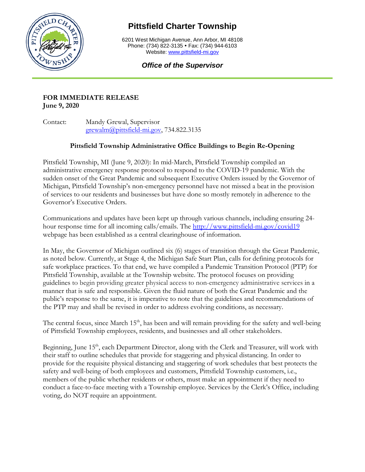

# **Pittsfield Charter Township**

6201 West Michigan Avenue, Ann Arbor, MI 48108 Phone: (734) 822-3135 • Fax: (734) 944-6103 Website[: www.pittsfield-mi.gov](http://www.pittsfield-mi.gov/)

# *Office of the Supervisor*

#### **FOR IMMEDIATE RELEASE June 9, 2020**

Contact: Mandy Grewal, Supervisor [grewalm@pittsfield-mi.gov,](mailto:grewalm@pittsfield-mi.gov) 734.822.3135

# **Pittsfield Township Administrative Office Buildings to Begin Re-Opening**

Pittsfield Township, MI (June 9, 2020): In mid-March, Pittsfield Township compiled an administrative emergency response protocol to respond to the COVID-19 pandemic. With the sudden onset of the Great Pandemic and subsequent Executive Orders issued by the Governor of Michigan, Pittsfield Township's non-emergency personnel have not missed a beat in the provision of services to our residents and businesses but have done so mostly remotely in adherence to the Governor's Executive Orders.

Communications and updates have been kept up through various channels, including ensuring 24 hour response time for all incoming calls/emails. The<http://www.pittsfield-mi.gov/covid19> webpage has been established as a central clearinghouse of information.

In May, the Governor of Michigan outlined six (6) stages of transition through the Great Pandemic, as noted below. Currently, at Stage 4, the Michigan Safe Start Plan, calls for defining protocols for safe workplace practices. To that end, we have compiled a Pandemic Transition Protocol (PTP) for Pittsfield Township, available at the Township website. The protocol focuses on providing guidelines to begin providing greater physical access to non-emergency administrative services in a manner that is safe and responsible. Given the fluid nature of both the Great Pandemic and the public's response to the same, it is imperative to note that the guidelines and recommendations of the PTP may and shall be revised in order to address evolving conditions, as necessary.

The central focus, since March 15<sup>th</sup>, has been and will remain providing for the safety and well-being of Pittsfield Township employees, residents, and businesses and all other stakeholders.

Beginning, June 15<sup>th</sup>, each Department Director, along with the Clerk and Treasurer, will work with their staff to outline schedules that provide for staggering and physical distancing. In order to provide for the requisite physical distancing and staggering of work schedules that best protects the safety and well-being of both employees and customers, Pittsfield Township customers, i.e., members of the public whether residents or others, must make an appointment if they need to conduct a face-to-face meeting with a Township employee. Services by the Clerk's Office, including voting, do NOT require an appointment.